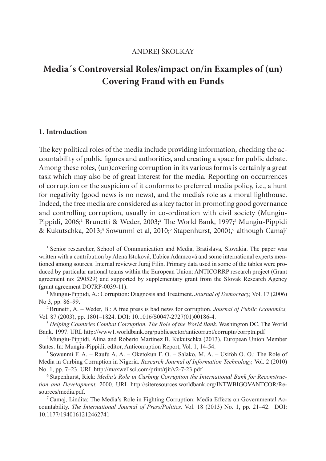# ANDREJ ŠKOLKAY

# **Media´s Controversial Roles/impact on/in Examples of (un) Covering Fraud with eu Funds**

### **1. Introduction**

The key political roles of the media include providing information, checking the accountability of public figures and authorities, and creating a space for public debate. Among these roles, (un)covering corruption in its various forms is certainly a great task which may also be of great interest for the media. Reporting on occurrences of corruption or the suspicion of it conforms to preferred media policy, i.e., a hunt for negativity (good news is no news), and the media's role as a moral lighthouse. Indeed, the free media are considered as a key factor in promoting good governance and controlling corruption, usually in co-ordination with civil society (Mungiu-Pippidi, 2006;<sup>1</sup> Brunetti & Weder, 2003;<sup>2</sup> The World Bank, 1997;<sup>3</sup> Mungiu-Pippidi & Kukutschka, 2013;<sup>4</sup> Sowunmi et al, 2010;<sup>5</sup> Stapenhurst, 2000),<sup>6</sup> although Camaj<sup>7</sup>

\* Senior researcher, School of Communication and Media, Bratislava, Slovakia. The paper was written with a contribution by Alena Ištoková, Ľubica Adamcová and some international experts mentioned among sources. Internal reviewer Juraj Filin. Primary data used in some of the tables were produced by particular national teams within the European Union: ANTICORRP research project (Grant agreement no: 290529) and supported by supplementary grant from the Slovak Research Agency (grant agreement DO7RP-0039-11).

1 Mungiu-Pippidi, A.: Corruption: Diagnosis and Treatment. *Journal of Democracy,* Vol. 17 (2006) No 3, pp. 86–99. 2 Brunetti, A. – Weder, B.: A free press is bad news for corruption. *Journal of Public Economics,*

Vol. 87 (2003), pp. 1801–1824. DOI: 10.1016/S0047-2727(01)00186-4. 3 *Helping Countries Combat Corruption. The Role of the World Bank.* Washington DC, The World

Bank. 1997. URL http://www1.worldbank.org/publicsector/anticorrupt/corruptn/corrptn.pdf

4 Mungiu-Pippidi, Alina and Roberto Martínez B. Kukutschka (2013). European Union Member States. In: Mungiu-Pippidi, editor, Anticorruption Report, Vol. 1, 14-54.

 $5$  Sowunmi F. A. – Raufu A. A. – Oketokun F. O. – Salako, M. A. – Usifoh O. O.: The Role of Media in Curbing Corruption in Nigeria. *Research Journal of Information Technology,* Vol. 2 (2010) No. 1, pp. 7–23. URL http://maxwellsci.com/print/rjit/v2-7-23.pdf

6 Stapenhurst, Rick: *Media's Role in Curbing Corruption the International Bank for Reconstruction and Development.* 2000. URL http://siteresources.worldbank.org/INTWBIGOVANTCOR/Resources/media.pdf.

 $7$  Camaj, Lindita: The Media's Role in Fighting Corruption: Media Effects on Governmental Accountability. *The International Journal of Press/Politics.* Vol. 18 (2013) No. 1, pp. 21–42. DOI: 10.1177/1940161212462741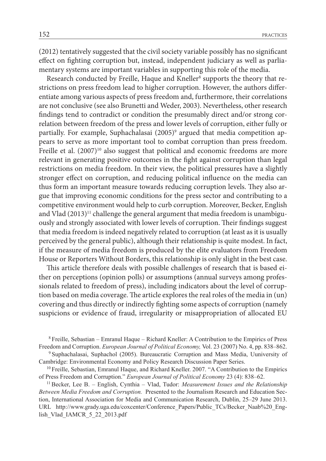(2012) tentatively suggested that the civil society variable possibly has no significant effect on fighting corruption but, instead, independent judiciary as well as parliamentary systems are important variables in supporting this role of the media.

Research conducted by Freille, Haque and Kneller<sup>8</sup> supports the theory that restrictions on press freedom lead to higher corruption. However, the authors differentiate among various aspects of press freedom and, furthermore, their correlations are not conclusive (see also Brunetti and Weder, 2003). Nevertheless, other research findings tend to contradict or condition the presumably direct and/or strong correlation between freedom of the press and lower levels of corruption, either fully or partially. For example, Suphachalasai (2005)<sup>9</sup> argued that media competition appears to serve as more important tool to combat corruption than press freedom. Freille et al. (2007)<sup>10</sup> also suggest that political and economic freedoms are more relevant in generating positive outcomes in the fight against corruption than legal restrictions on media freedom. In their view, the political pressures have a slightly stronger effect on corruption, and reducing political influence on the media can thus form an important measure towards reducing corruption levels. They also argue that improving economic conditions for the press sector and contributing to a competitive environment would help to curb corruption. Moreover, Becker, English and Vlad (2013)<sup>11</sup> challenge the general argument that media freedom is unambiguously and strongly associated with lower levels of corruption. Their findings suggest that media freedom is indeed negatively related to corruption (at least as it is usually perceived by the general public), although their relationship is quite modest. In fact, if the measure of media freedom is produced by the elite evaluators from Freedom House or Reporters Without Borders, this relationship is only slight in the best case.

This article therefore deals with possible challenges of research that is based either on perceptions (opinion polls) or assumptions (annual surveys among professionals related to freedom of press), including indicators about the level of corruption based on media coverage. The article explores the real roles of the media in (un) covering and thus directly or indirectly fighting some aspects of corruption (namely suspicions or evidence of fraud, irregularity or misappropriation of allocated EU

8 Freille, Sebastian – Emranul Haque – Richard Kneller: A Contribution to the Empirics of Press Freedom and Corruption. *European Journal of Political Economy,* Vol. 23 (2007) No. 4, pp. 838–862. 9 Suphachalasai, Suphachol (2005). Bureaucratic Corruption and Mass Media, Uuniversity of

Cambridge: Environmental Economy and Policy Research Discussion Paper Series.

<sup>10</sup> Freille, Sebastian, Emranul Haque, and Richard Kneller. 2007. "A Contribution to the Empirics of Press Freedom and Corruption." *European Journal of Political Economy* 23 (4): 838–62. 11 Becker, Lee B. – English, Cynthia – Vlad, Tudor: *Measurement Issues and the Relationship* 

*Between Media Freedom and Corruption.* Presented to the Journalism Research and Education Section, International Association for Media and Communication Research, Dublin, 25–29 June 2013. URL http://www.grady.uga.edu/coxcenter/Conference\_Papers/Public\_TCs/Becker\_Naab%20\_English\_Vlad\_IAMCR\_5\_22\_2013.pdf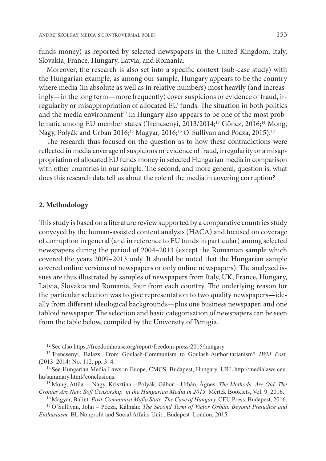funds money) as reported by selected newspapers in the United Kingdom, Italy, Slovakia, France, Hungary, Latvia, and Romania.

Moreover, the research is also set into a specific context (sub-case study) with the Hungarian example, as among our sample, Hungary appears to be the country where media (in absolute as well as in relative numbers) most heavily (and increasingly—in the long term—more frequently) cover suspicions or evidence of fraud, irregularity or misappropriation of allocated EU funds. The situation in both politics and the media environment<sup>12</sup> in Hungary also appears to be one of the most problematic among EU member states (Trencsenyi, 2013/2014;<sup>13</sup> Göncz, 2016;<sup>14</sup> Mong, Nagy, Polyák and Urbán 2016;<sup>15</sup> Magyar, 2016;<sup>16</sup> O´Sullivan and Pócza, 2015).<sup>17</sup>

The research thus focused on the question as to how these contradictions were reflected in media coverage of suspicions or evidence of fraud, irregularity or a misappropriation of allocated EU funds money in selected Hungarian media in comparison with other countries in our sample. The second, and more general, question is, what does this research data tell us about the role of the media in covering corruption?

#### **2. Methodology**

This study is based on a literature review supported by a comparative countries study conveyed by the human-assisted content analysis (HACA) and focused on coverage of corruption in general (and in reference to EU funds in particular) among selected newspapers during the period of 2004–2013 (except the Romanian sample which covered the years 2009–2013 only. It should be noted that the Hungarian sample covered online versions of newspapers or only online newspapers). The analysed issues are thus illustrated by samples of newspapers from Italy, UK, France, Hungary, Latvia, Slovakia and Romania, four from each country. The underlying reason for the particular selection was to give representation to two quality newspapers—ideally from different ideological backgrounds—plus one business newspaper, and one tabloid newspaper.The selection and basic categorisation of newspapers can be seen from the table below, compiled by the University of Perugia.

12 See also https://freedomhouse.org/report/freedom-press/2015/hungary

13 Trencsenyi, Balazs: From Goulash-Communism to Goulash-Authoritarianism? *IWM Post,* (2013–2014) No. 112, pp. 3–4.

14 See Hungarian Media Laws in Euope, CMCS, Budapest, Hungary. URL http://medialaws.ceu. hu/summary.html#conclusions.

15 Mong, Attila – Nagy, Krisztina – Polyák, Gábor – Urbán, Ágnes: *The Methods Are Old, The Cronies Are New. Soft Censorship in the Hungarian Media in 2015.* Mérték Booklets, Vol. 9. 2016.

16 Magyar, Bálint: *Post-Communist Mafia State. The Case of Hungary.* CEU Press, Budapest, 2016.

17 O´Sullivan, John – Pócza, Kálmán: *The Second Term of Victor Orbán. Beyond Prejudice and Enthusiasm.* BL Nonprofit and Social Affairs Unit., Budapest–London, 2015.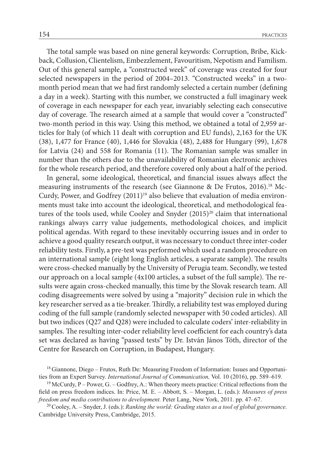The total sample was based on nine general keywords: Corruption, Bribe, Kickback, Collusion, Clientelism, Embezzlement, Favouritism, Nepotism and Familism. Out of this general sample, a "constructed week" of coverage was created for four selected newspapers in the period of 2004–2013. "Constructed weeks" in a twomonth period mean that we had first randomly selected a certain number (defining a day in a week). Starting with this number, we constructed a full imaginary week of coverage in each newspaper for each year, invariably selecting each consecutive day of coverage. The research aimed at a sample that would cover a "constructed" two-month period in this way. Using this method, we obtained a total of 2,959 articles for Italy (of which 11 dealt with corruption and EU funds), 2,163 for the UK (38), 1,477 for France (40), 1,446 for Slovakia (48), 2,488 for Hungary (99), 1,678 for Latvia (24) and 558 for Romania (11). The Romanian sample was smaller in number than the others due to the unavailability of Romanian electronic archives for the whole research period, and therefore covered only about a half of the period.

In general, some ideological, theoretical, and financial issues always affect the measuring instruments of the research (see Giannone & De Frutos, 2016).<sup>18</sup> Mc-Curdy, Power, and Godfrey (2011)<sup>19</sup> also believe that evaluation of media environments must take into account the ideological, theoretical, and methodological features of the tools used, while Cooley and Snyder (2015)<sup>20</sup> claim that international rankings always carry value judgements, methodological choices, and implicit political agendas. With regard to these inevitably occurring issues and in order to achieve a good quality research output, it was necessary to conduct three inter-coder reliability tests. Firstly, a pre-test was performed which used a random procedure on an international sample (eight long English articles, a separate sample). The results were cross-checked manually by the University of Perugia team. Secondly, we tested our approach on a local sample (4x100 articles, a subset of the full sample). The results were again cross-checked manually, this time by the Slovak research team. All coding disagreements were solved by using a "majority" decision rule in which the key researcher served as a tie-breaker. Thirdly, a reliability test was employed during coding of the full sample (randomly selected newspaper with 50 coded articles). All but two indices (Q27 and Q28) were included to calculate coders' inter-reliability in samples. The resulting inter-coder reliability level coefficient for each country's data set was declared as having "passed tests" by Dr. István János Tóth, director of the Centre for Research on Corruption, in Budapest, Hungary.

20 Cooley, A. – Snyder, J. (eds.): *Ranking the world: Grading states as a tool of global governance.* Cambridge University Press, Cambridge, 2015.

<sup>18</sup> Giannone, Diego – Frutos, Ruth De: Measuring Freedom of Information: Issues and Opportunities from an Expert Survey. *International Journal of Communication,* Vol. 10 (2016), pp. 589–619.

<sup>&</sup>lt;sup>19</sup> McCurdy, P – Power, G. – Godfrey, A.: When theory meets practice: Critical reflections from the field on press freedom indices. In: Price, M. E. – Abbott, S. – Morgan, L. (eds.): *Measures of press freedom and media contributions to development.* Peter Lang, New York, 2011. pp. 47–67.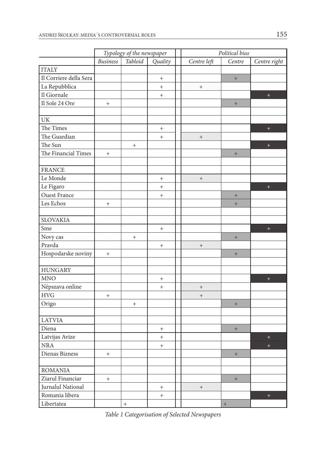|                        | Typology of the newspaper        |         |                                  | Political bias                   |                                  |              |  |
|------------------------|----------------------------------|---------|----------------------------------|----------------------------------|----------------------------------|--------------|--|
|                        | <b>Business</b>                  | Tabloid | Quality                          | Centre left                      | Centre                           | Centre right |  |
| <b>ITALY</b>           |                                  |         |                                  |                                  |                                  |              |  |
| Il Corriere della Sera |                                  |         | $\qquad \qquad +$                |                                  | $+$                              |              |  |
| La Repubblica          |                                  |         | $\qquad \qquad +$                | $\qquad \qquad +$                |                                  |              |  |
| Il Giornale            |                                  |         | $^{+}$                           |                                  |                                  | $\pm$        |  |
| Il Sole 24 Ore         | $^{+}$                           |         |                                  |                                  | $^+$                             |              |  |
|                        |                                  |         |                                  |                                  |                                  |              |  |
| UK                     |                                  |         |                                  |                                  |                                  |              |  |
| The Times              |                                  |         | $^{+}$                           |                                  |                                  | $\ddot{}$    |  |
| The Guardian           |                                  |         | $^{+}$                           | $\qquad \qquad +$                |                                  |              |  |
| The Sun                |                                  | $^{+}$  |                                  |                                  |                                  | $\ddot{}$    |  |
| The Financial Times    | $^{+}$                           |         |                                  |                                  | $\begin{array}{c} + \end{array}$ |              |  |
|                        |                                  |         |                                  |                                  |                                  |              |  |
| <b>FRANCE</b>          |                                  |         |                                  |                                  |                                  |              |  |
| Le Monde               |                                  |         | $^{+}$                           | $^+$                             |                                  |              |  |
| Le Figaro              |                                  |         | $^{+}$                           |                                  |                                  | $\ddot{}$    |  |
| <b>Ouest France</b>    |                                  |         | $^{+}$                           |                                  | $+$                              |              |  |
| Les Echos              | $^{+}$                           |         |                                  |                                  | $\begin{array}{c} + \end{array}$ |              |  |
|                        |                                  |         |                                  |                                  |                                  |              |  |
| <b>SLOVAKIA</b>        |                                  |         |                                  |                                  |                                  |              |  |
| Sme                    |                                  |         | $^{+}$                           |                                  |                                  | $+$          |  |
| Novy cas               |                                  | $^{+}$  |                                  |                                  | $+$                              |              |  |
| Pravda                 |                                  |         | $^{+}$                           | $\begin{array}{c} + \end{array}$ |                                  |              |  |
| Hospodarske noviny     | $^{+}$                           |         |                                  |                                  | $^+$                             |              |  |
|                        |                                  |         |                                  |                                  |                                  |              |  |
| <b>HUNGARY</b>         |                                  |         |                                  |                                  |                                  |              |  |
| <b>MNO</b>             |                                  |         | $\begin{array}{c} + \end{array}$ |                                  |                                  | $\ddot{}$    |  |
| Népszava online        |                                  |         | $^{+}$                           | $\qquad \qquad +$                |                                  |              |  |
| <b>HVG</b>             | $^{+}$                           |         |                                  | $\qquad \qquad +$                |                                  |              |  |
| Origo                  |                                  | $+$     |                                  |                                  | $+$                              |              |  |
|                        |                                  |         |                                  |                                  |                                  |              |  |
| <b>LATVIA</b>          |                                  |         |                                  |                                  |                                  |              |  |
| Diena                  |                                  |         | $^{+}$                           |                                  | $\begin{array}{c} + \end{array}$ |              |  |
| Latvijas Avize         |                                  |         | $^{+}$                           |                                  |                                  | $+$          |  |
| $\rm NRA$              |                                  |         | $^{+}$                           |                                  |                                  | $\ddot{}$    |  |
| Dienas Bizness         | $^{+}$                           |         |                                  |                                  | $\qquad \qquad +$                |              |  |
|                        |                                  |         |                                  |                                  |                                  |              |  |
| <b>ROMANIA</b>         |                                  |         |                                  |                                  |                                  |              |  |
| Ziarul Financiar       | $\begin{array}{c} + \end{array}$ |         |                                  |                                  | $^+$                             |              |  |
| Jurnalul National      |                                  |         | $^{+}$                           | $\qquad \qquad +$                |                                  |              |  |
| Romania libera         |                                  |         | $^{+}$                           |                                  |                                  | $+$          |  |
| Libertatea             |                                  | $^+$    |                                  |                                  | $\boldsymbol{+}$                 |              |  |

*Table 1 Categorisation of Selected Newspapers*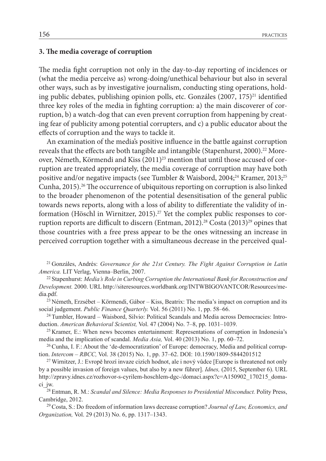### **3. The media coverage of corruption**

The media fight corruption not only in the day-to-day reporting of incidences or (what the media perceive as) wrong-doing/unethical behaviour but also in several other ways, such as by investigative journalism, conducting sting operations, holding public debates, publishing opinion polls, etc. Gonzáles  $(2007, 175)^{21}$  identified three key roles of the media in fighting corruption: a) the main discoverer of corruption, b) a watch-dog that can even prevent corruption from happening by creating fear of publicity among potential corrupters, and c) a public educator about the effects of corruption and the ways to tackle it.

An examination of the media's positive influence in the battle against corruption reveals that the effects are both tangible and intangible (Stapenhurst, 2000).<sup>22</sup> Moreover, Németh, Körmendi and Kiss  $(2011)^{23}$  mention that until those accused of corruption are treated appropriately, the media coverage of corruption may have both positive and/or negative impacts (see Tumbler & Waisbord, 2004;<sup>24</sup> Kramer, 2013;<sup>25</sup> Cunha, 2015).<sup>26</sup> The occurrence of ubiquitous reporting on corruption is also linked to the broader phenomenon of the potential desensitisation of the general public towards news reports, along with a loss of ability to differentiate the validity of information (Höschl in Wirnitzer, 2015).<sup>27</sup> Yet the complex public responses to corruption reports are difficult to discern (Entman, 2012).<sup>28</sup> Costa (2013)<sup>29</sup> opines that those countries with a free press appear to be the ones witnessing an increase in perceived corruption together with a simultaneous decrease in the perceived qual-

21 Gonzáles, Andrés: *Governance for the 21st Century. The Fight Against Corruption in Latin America.* LIT Verlag, Vienna–Berlin, 2007.

22 Stapenhurst: *Media's Role in Curbing Corruption the International Bank for Reconstruction and Development.* 2000. URL http://siteresources.worldbank.org/INTWBIGOVANTCOR/Resources/media.pdf.

 $23$  Németh, Erzsébet – Körmendi, Gábor – Kiss, Beatrix: The media's impact on corruption and its social judgement. *Public Finance Quarterly.* Vol. 56 (2011) No. 1, pp. 58–66.<br><sup>24</sup> Tumbler, Howard – Waisbord, Silvio: Political Scandals and Media across Democracies: Intro-

duction. *American Behavioral Scientist,* Vol. 47 (2004) No. 7–8, pp. 1031–1039.

25 Kramer, E.: When news becomes entertainment: Representations of corruption in Indonesia's media and the implication of scandal. *Media Asia,* Vol. 40 (2013) No. 1, pp. 60–72.

26 Cunha, I. F.: About the 'de-democratization' of Europe: democracy, Media and political corruption. *Intercom – RBCC,* Vol. 38 (2015) No. 1, pp. 37–62. DOI: 10.1590/1809-5844201512

<sup>27</sup> Wirnitzer, J.: Evropě hrozí invaze cizích hodnot, ale i nový vůdce [Europe is threatened not only by a possible invasion of foreign values, but also by a new führer]. *Idnes,* (2015, September 6). URL http://zpravy.idnes.cz/rozhovor-s-cyrilem-hoschlem-dgc-/domaci.aspx?c=A150902\_170215\_domaci\_jw.

28 Entman, R. M.: *Scandal and Silence: Media Responses to Presidential Misconduct.* Polity Press, Cambridge, 2012.

29 Costa, S.: Do freedom of information laws decrease corruption? *Journal of Law, Economics, and Organization,* Vol. 29 (2013) No. 6, pp. 1317–1343.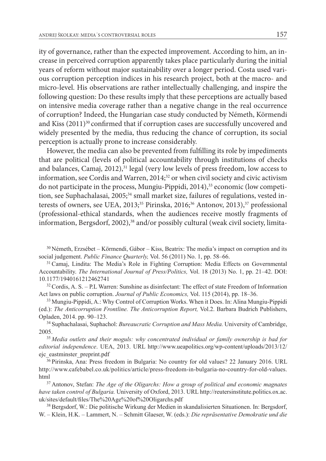ity of governance, rather than the expected improvement. According to him, an increase in perceived corruption apparently takes place particularly during the initial years of reform without major sustainability over a longer period. Costa used various corruption perception indices in his research project, both at the macro- and micro-level. His observations are rather intellectually challenging, and inspire the following question: Do these results imply that these perceptions are actually based on intensive media coverage rather than a negative change in the real occurrence of corruption? Indeed, the Hungarian case study conducted by Németh, Körmendi and Kiss (2011)<sup>30</sup> confirmed that if corruption cases are successfully uncovered and widely presented by the media, thus reducing the chance of corruption, its social perception is actually prone to increase considerably.

However, the media can also be prevented from fulfilling its role by impediments that are political (levels of political accountability through institutions of checks and balances, Camaj, 2012),<sup>31</sup> legal (very low levels of press freedom, low access to information, see Cordis and Warren, 2014;<sup>32</sup> or when civil society and civic activism do not participate in the process, Mungiu-Pippidi, 2014),<sup>33</sup> economic (low competition, see Suphachalasai, 2005;<sup>34</sup> small market size, failures of regulations, vested interests of owners, see UEA, 2013;<sup>35</sup> Pirinska, 2016;<sup>36</sup> Antonov, 2013),<sup>37</sup> professional (professional-ethical standards, when the audiences receive mostly fragments of information, Bergsdorf, 2002),<sup>38</sup> and/or possibly cultural (weak civil society, limita-

 $30$  Németh, Erzsébet – Körmendi, Gábor – Kiss, Beatrix: The media's impact on corruption and its social judgement. *Public Finance Quarterly,* Vol. 56 (2011) No. 1, pp. 58–66.

31 Camaj, Lindita: The Media's Role in Fighting Corruption: Media Effects on Governmental Accountability. *The International Journal of Press/Politics,* Vol. 18 (2013) No. 1, pp. 21–42. DOI: 10.1177/1940161212462741

 $32$  Cordis, A. S. – P.L Warren: Sunshine as disinfectant: The effect of state Freedom of Information Act laws on public corruption. *Journal of Public Economics*, Vol. 115 (2014), pp. 18–36.<br><sup>33</sup> Mungiu-Pippidi, A.: Why Control of Corruption Works. When it Does. In: Alina Mungiu-Pippidi

(ed.): *The Anticorruption Frontline. The Anticorruption Report,* Vol.2. Barbara Budrich Publishers, Opladen, 2014. pp. 90–123.

34 Suphachalasai, Suphachol: *Bureaucratic Corruption and Mass Media.* University of Cambridge, 2005.

<sup>35</sup>*Media outlets and their moguls: why concentrated individual or family ownership is bad for editorial independence*. UEA, 2013. URL http://www.ueapolitics.org/wp-content/uploads/2013/12/ ejc\_eastminster\_preprint.pdf

36 Pirinska, Ana: Press freedom in Bulgaria: No country for old values? 22 January 2016. URL http://www.cafebabel.co.uk/politics/article/press-freedom-in-bulgaria-no-country-for-old-values. html<br><sup>37</sup> Antonov, Stefan: *The Age of the Oligarchs: How a group of political and economic magnates* 

*have taken control of Bulgaria.* University of Oxford, 2013. URL http://reutersinstitute.politics.ox.ac. uk/sites/default/files/The%20Age%20of%20Oligarchs.pdf

38 Bergsdorf, W.: Die politische Wirkung der Medien in skandalisierten Situationen. In: Bergsdorf, W. – Klein, H.K. – Lammert, N. – Schmitt Glaeser, W. (eds.): *Die repräsentative Demokratie und die*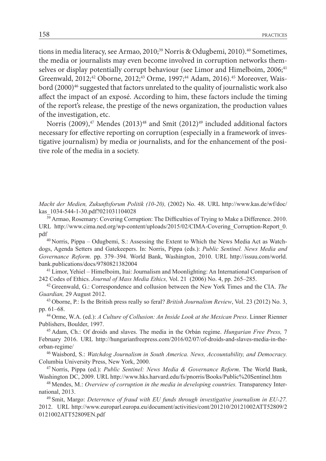tions in media literacy, see Armao, 2010;<sup>39</sup> Norris & Odugbemi, 2010).<sup>40</sup> Sometimes, the media or journalists may even become involved in corruption networks themselves or display potentially corrupt behaviour (see Limor and Himelboim, 2006;<sup>41</sup> Greenwald, 2012;<sup>42</sup> Oborne, 2012;<sup>43</sup> Orme, 1997;<sup>44</sup> Adam, 2016).<sup>45</sup> Moreover, Waisbord (2000)<sup>46</sup> suggested that factors unrelated to the quality of journalistic work also affect the impact of an exposé. According to him, these factors include the timing of the report's release, the prestige of the news organization, the production values of the investigation, etc.

Norris (2009), $47$  Mendes (2013) $48$  and Smit (2012) $49$  included additional factors necessary for effective reporting on corruption (especially in a framework of investigative journalism) by media or journalists, and for the enhancement of the positive role of the media in a society.

*Macht der Medien, Zukunftsforum Politik (10-20),* (2002) No. 48. URL http://www.kas.de/wf/doc/ kas\_1034-544-1-30.pdf?021031104028

<sup>39</sup> Armao, Rosemary: Covering Corruption: The Difficulties of Trying to Make a Difference. 2010. URL http://www.cima.ned.org/wp-content/uploads/2015/02/CIMA-Covering\_Corruption-Report\_0. pdf<br><sup>40</sup> Norris, Pippa – Odugbemi, S.: Assessing the Extent to Which the News Media Act as Watch-

dogs, Agenda Setters and Gatekeepers. In: Norris, Pippa (eds.): *Public Sentinel. News Media and Governance Reform.* pp. 379–394. World Bank, Washington, 2010. URL http://issuu.com/world. bank.publications/docs/9780821382004

41 Limor, Yehiel – Himelboim, Itai: Journalism and Moonlighting: An International Comparison of 242 Codes of Ethics. *Journal of Mass Media Ethics,* Vol. 21 (2006) No. 4, pp. 265–285.

42 Greenwald, G.: Correspondence and collusion between the New York Times and the CIA. *The Guardian, 29 August 2012.*<br><sup>43</sup> Oborne, P.: Is the British press really so feral? *British Journalism Review*, Vol. 23 (2012) No. 3,

pp. 61–68.

44 Orme, W.A. (ed.): *A Culture of Collusion: An Inside Look at the Mexican Press*. Linner Rienner Publishers, Boulder, 1997.

45 Adam, Ch.: Of droids and slaves. The media in the Orbán regime. *Hungarian Free Press,* 7 February 2016. URL http://hungarianfreepress.com/2016/02/07/of-droids-and-slaves-media-in-theorban-regime/

46 Waisbord, S.: *Watchdog Journalism in South America. News, Accountability, and Democracy.* Columbia University Press, New York, 2000.

47 Norris, Pippa (ed.): *Public Sentinel: News Media & Governance Reform*. The World Bank, Washington DC, 2009. URL http://www.hks.harvard.edu/fs/pnorris/Books/Public%20Sentinel.htm

48 Mendes, M.: *Overview of corruption in the media in developing countries.* Transparency International, 2013.

49 Smit, Margo: *Deterrence of fraud with EU funds through investigative journalism in EU-27.* 2012. URL http://www.europarl.europa.eu/document/activities/cont/201210/20121002ATT52809/2 0121002ATT52809EN.pdf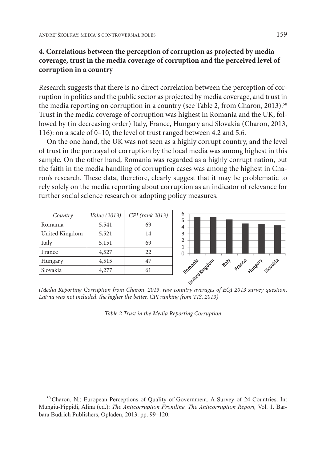## **4. Correlations between the perception of corruption as projected by media coverage, trust in the media coverage of corruption and the perceived level of corruption in a country**

Research suggests that there is no direct correlation between the perception of corruption in politics and the public sector as projected by media coverage, and trust in the media reporting on corruption in a country (see Table 2, from Charon, 2013).<sup>50</sup> Trust in the media coverage of corruption was highest in Romania and the UK, followed by (in decreasing order) Italy, France, Hungary and Slovakia (Charon, 2013, 116): on a scale of 0–10, the level of trust ranged between 4.2 and 5.6.

On the one hand, the UK was not seen as a highly corrupt country, and the level of trust in the portrayal of corruption by the local media was among highest in this sample. On the other hand, Romania was regarded as a highly corrupt nation, but the faith in the media handling of corruption cases was among the highest in Charon's research. These data, therefore, clearly suggest that it may be problematic to rely solely on the media reporting about corruption as an indicator of relevance for further social science research or adopting policy measures.

| Country        | Value (2013) | CPI (rank 2013)       |
|----------------|--------------|-----------------------|
| Romania        | 5,541        | 69                    |
| United Kingdom | 5,521        | 14                    |
| Italy          | 5,151        | 69                    |
| France         | 4,527        | 22                    |
| Hungary        | 4,515        | 47<br>Romania Linedom |
| Slovakia       | 4,277        | 61                    |
|                |              |                       |

*(Media Reporting Corruption from Charon, 2013, raw country averages of EQI 2013 survey question,*  Latvia was not included, the higher the better, CPI ranking from TIS, 2013)

*Table 2 Trust in the Media Reporting Corruption*

50 Charon, N.: European Perceptions of Quality of Government. A Survey of 24 Countries. In: Mungiu-Pippidi, Alina (ed.): *The Anticorruption Frontline. The Anticorruption Report,* Vol. 1. Barbara Budrich Publishers, Opladen, 2013. pp. 99–120.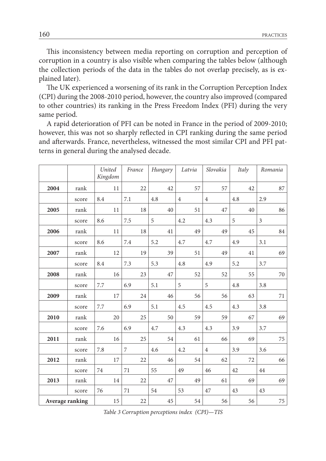This inconsistency between media reporting on corruption and perception of corruption in a country is also visible when comparing the tables below (although the collection periods of the data in the tables do not overlap precisely, as is explained later).

The UK experienced a worsening of its rank in the Corruption Perception Index (CPI) during the 2008-2010 period, however, the country also improved (compared to other countries) its ranking in the Press Freedom Index (PFI) during the very same period.

A rapid deterioration of PFI can be noted in France in the period of 2009-2010; however, this was not so sharply reflected in CPI ranking during the same period and afterwards. France, nevertheless, witnessed the most similar CPI and PFI patterns in general during the analysed decade.

|                 |       | United<br>Kingdom | France | Hungary | Latvia         | Slovakia       | Italy | Romania |
|-----------------|-------|-------------------|--------|---------|----------------|----------------|-------|---------|
| 2004            | rank  | 11                | 22     | 42      | 57             | 57             | 42    | 87      |
|                 | score | 8.4               | 7.1    | 4.8     | $\overline{4}$ | $\overline{4}$ | 4.8   | 2.9     |
| 2005            | rank  | 11                | 18     | 40      | 51             | 47             | 40    | 86      |
|                 | score | 8.6               | 7.5    | 5       | 4.2            | 4.3            | 5     | 3       |
| 2006            | rank  | 11                | 18     | 41      | 49             | 49             | 45    | 84      |
|                 | score | 8.6               | 7.4    | 5.2     | 4.7            | 4.7            | 4.9   | 3.1     |
| 2007            | rank  | 12                | 19     | 39      | 51             | 49             | 41    | 69      |
|                 | score | 8.4               | 7.3    | 5.3     | 4.8            | 4.9            | 5.2   | 3.7     |
| 2008            | rank  | 16                | 23     | 47      | 52             | 52             | 55    | 70      |
|                 | score | 7.7               | 6.9    | 5.1     | 5              | 5              | 4.8   | 3.8     |
| 2009            | rank  | 17                | 24     | 46      | 56             | 56             | 63    | 71      |
|                 | score | 7.7               | 6.9    | 5.1     | 4.5            | 4.5            | 4.3   | 3.8     |
| 2010            | rank  | 20                | 25     | 50      | 59             | 59             | 67    | 69      |
|                 | score | 7.6               | 6.9    | 4.7     | 4.3            | 4.3            | 3.9   | 3.7     |
| 2011            | rank  | 16                | 25     | 54      | 61             | 66             | 69    | 75      |
|                 | score | 7.8               | 7      | 4.6     | 4.2            | $\overline{4}$ | 3.9   | 3.6     |
| 2012            | rank  | 17                | 22     | 46      | 54             | 62             | 72    | 66      |
|                 | score | 74                | 71     | 55      | 49             | 46             | 42    | 44      |
| 2013            | rank  | 14                | 22     | 47      | 49             | 61             | 69    | 69      |
|                 | score | 76                | 71     | 54      | 53             | 47             | 43    | 43      |
| Average ranking |       | 15                | 22     | 45      | 54             | 56             | 56    | 75      |

*Table 3 Corruption perceptions index (CPI)—TIS*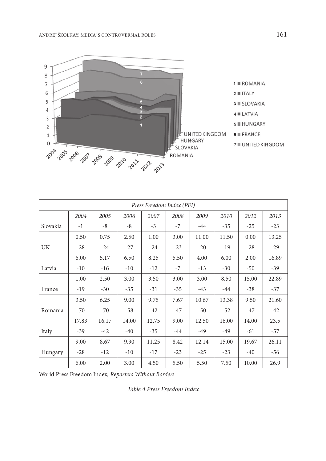

| Press Freedom Index (PFI) |       |       |       |       |       |       |       |       |       |  |  |
|---------------------------|-------|-------|-------|-------|-------|-------|-------|-------|-------|--|--|
|                           | 2004  | 2005  | 2006  | 2007  | 2008  | 2009  | 2010  | 2012  | 2013  |  |  |
| Slovakia                  | $-1$  | -8    | -8    | $-3$  | $-7$  | $-44$ | $-35$ | $-25$ | $-23$ |  |  |
|                           | 0.50  | 0.75  | 2.50  | 1.00  | 3.00  | 11.00 | 11.50 | 0.00  | 13.25 |  |  |
| <b>UK</b>                 | $-28$ | $-24$ | $-27$ | $-24$ | $-23$ | $-20$ | $-19$ | $-28$ | $-29$ |  |  |
|                           | 6.00  | 5.17  | 6.50  | 8.25  | 5.50  | 4.00  | 6.00  | 2.00  | 16.89 |  |  |
| Latvia                    | $-10$ | $-16$ | $-10$ | $-12$ | $-7$  | $-13$ | $-30$ | $-50$ | $-39$ |  |  |
|                           | 1.00  | 2.50  | 3.00  | 3.50  | 3.00  | 3.00  | 8.50  | 15.00 | 22.89 |  |  |
| France                    | $-19$ | $-30$ | $-35$ | $-31$ | $-35$ | $-43$ | $-44$ | $-38$ | $-37$ |  |  |
|                           | 3.50  | 6.25  | 9.00  | 9.75  | 7.67  | 10.67 | 13.38 | 9.50  | 21.60 |  |  |
| Romania                   | $-70$ | $-70$ | -58   | $-42$ | $-47$ | $-50$ | $-52$ | $-47$ | $-42$ |  |  |
|                           | 17.83 | 16.17 | 14.00 | 12.75 | 9.00  | 12.50 | 16.00 | 14.00 | 23.5  |  |  |
| Italy                     | $-39$ | $-42$ | $-40$ | $-35$ | $-44$ | $-49$ | $-49$ | $-61$ | $-57$ |  |  |
|                           | 9.00  | 8.67  | 9.90  | 11.25 | 8.42  | 12.14 | 15.00 | 19.67 | 26.11 |  |  |
| Hungary                   | $-28$ | $-12$ | $-10$ | $-17$ | $-23$ | $-25$ | $-23$ | $-40$ | -56   |  |  |
|                           | 6.00  | 2.00  | 3.00  | 4.50  | 5.50  | 5.50  | 7.50  | 10.00 | 26.9  |  |  |

World Press Freedom Index*, Reporters Without Borders*

*Table 4 Press Freedom Index*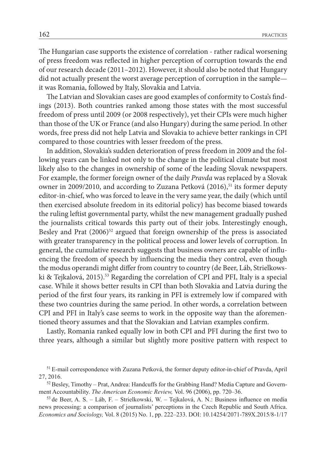The Hungarian case supports the existence of correlation - rather radical worsening of press freedom was reflected in higher perception of corruption towards the end of our research decade (2011–2012). However, it should also be noted that Hungary did not actually present the worst average perception of corruption in the sample it was Romania, followed by Italy, Slovakia and Latvia.

The Latvian and Slovakian cases are good examples of conformity to Costa's findings (2013). Both countries ranked among those states with the most successful freedom of press until 2009 (or 2008 respectively), yet their CPIs were much higher than those of the UK or France (and also Hungary) during the same period. In other words, free press did not help Latvia and Slovakia to achieve better rankings in CPI compared to those countries with lesser freedom of the press.

In addition, Slovakia's sudden deterioration of press freedom in 2009 and the following years can be linked not only to the change in the political climate but most likely also to the changes in ownership of some of the leading Slovak newspapers. For example, the former foreign owner of the daily *Pravda* was replaced by a Slovak owner in 2009/2010, and according to Zuzana Petková (2016),<sup>51</sup> its former deputy editor-in-chief, who was forced to leave in the very same year, the daily (which until then exercised absolute freedom in its editorial policy) has become biased towards the ruling leftist governmental party, whilst the new management gradually pushed the journalists critical towards this party out of their jobs. Interestingly enough, Besley and Prat  $(2006)^{52}$  argued that foreign ownership of the press is associated with greater transparency in the political process and lower levels of corruption. In general, the cumulative research suggests that business owners are capable of influencing the freedom of speech by influencing the media they control, even though the modus operandi might differ from country to country (de Beer, Láb, Strielkowski & Tejkalová, 2015).<sup>53</sup> Regarding the correlation of CPI and PFI, Italy is a special case. While it shows better results in CPI than both Slovakia and Latvia during the period of the first four years, its ranking in PFI is extremely low if compared with these two countries during the same period. In other words, a correlation between CPI and PFI in Italy's case seems to work in the opposite way than the aforementioned theory assumes and that the Slovakian and Latvian examples confirm.

Lastly, Romania ranked equally low in both CPI and PFI during the first two to three years, although a similar but slightly more positive pattern with respect to

<sup>51</sup> E-mail correspondence with Zuzana Petková, the former deputy editor-in-chief of Pravda, April 27, 2016.

 $52$  Besley, Timothy – Prat, Andrea: Handcuffs for the Grabbing Hand? Media Capture and Government Accountability. *The American Economic Review,* Vol. 96 (2006), pp. 720–36.

<sup>53</sup>de Beer, A. S. – Láb, F. – Strielkowski, W. – Tejkalová, A. N.: Business influence on media news processing: a comparison of journalists' perceptions in the Czech Republic and South Africa. *Economics and Sociology,* Vol. 8 (2015) No. 1, pp. 222–233. DOI: 10.14254/2071-789X.2015/8-1/17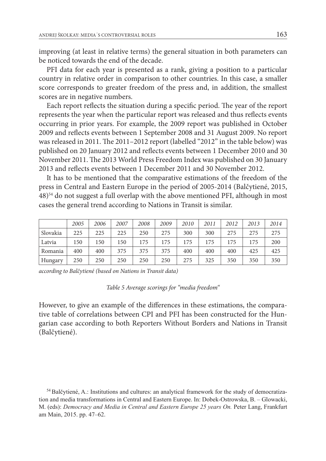improving (at least in relative terms) the general situation in both parameters can be noticed towards the end of the decade.

PFI data for each year is presented as a rank, giving a position to a particular country in relative order in comparison to other countries. In this case, a smaller score corresponds to greater freedom of the press and, in addition, the smallest scores are in negative numbers.

Each report reflects the situation during a specific period. The year of the report represents the year when the particular report was released and thus reflects events occurring in prior years. For example, the 2009 report was published in October 2009 and reflects events between 1 September 2008 and 31 August 2009. No report was released in 2011. The 2011–2012 report (labelled "2012" in the table below) was published on 20 January 2012 and reflects events between 1 December 2010 and 30 November 2011. The 2013 World Press Freedom Index was published on 30 January 2013 and reflects events between 1 December 2011 and 30 November 2012.

It has to be mentioned that the comparative estimations of the freedom of the press in Central and Eastern Europe in the period of 2005-2014 (Balčytiené, 2015, 48)54 do not suggest a full overlap with the above mentioned PFI, although in most cases the general trend according to Nations in Transit is similar.

|          | 2005 | 2006 | 2007 | 2008 | 2009 | 2010 | 2011 | 2012 | 2013 | 2014 |
|----------|------|------|------|------|------|------|------|------|------|------|
| Slovakia | 225  | 225  | 225  | 250  | 275  | 300  | 300  | 275  | 275  | 275  |
| Latvia   | 150  | 150  | 150  | 175  | 175  | 175  | 175  | 175  | 175  | 200  |
| Romania  | 400  | 400  | 375  | 375  | 375  | 400  | 400  | 400  | 425  | 425  |
| Hungary  | 250  | 250  | 250  | 250  | 250  | 275  | 325  | 350  | 350  | 350  |

*according to Balčytiené (based on Nations in Transit data)*

*Table 5 Average scorings for "media freedom"* 

However, to give an example of the differences in these estimations, the comparative table of correlations between CPI and PFI has been constructed for the Hungarian case according to both Reporters Without Borders and Nations in Transit (Balčytiené).

<sup>54</sup> Balčytiené, A.: Institutions and cultures: an analytical framework for the study of democratization and media transformations in Central and Eastern Europe. In: Dobek-Ostrowska, B. – Glowacki, M. (eds): *Democracy and Media in Central and Eastern Europe 25 years On.* Peter Lang, Frankfurt am Main, 2015. pp. 47–62.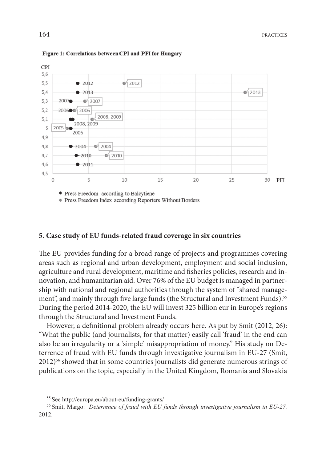

Figure 1: Correlations between CPI and PFI for Hungary

**•** Press Freedom according to Balčytiene

• Press Freedom Index according Reporters Without Borders

### **5. Case study of EU funds-related fraud coverage in six countries**

The EU provides funding for a broad range of projects and programmes covering areas such as regional and urban development, employment and social inclusion, agriculture and rural development, maritime and fisheries policies, research and innovation, and humanitarian aid. Over 76% of the EU budget is managed in partnership with national and regional authorities through the system of "shared management", and mainly through five large funds (the Structural and Investment Funds).<sup>55</sup> During the period 2014-2020, the EU will invest 325 billion eur in Europe's regions through the Structural and Investment Funds.

However, a definitional problem already occurs here. As put by Smit (2012, 26): "What the public (and journalists, for that matter) easily call 'fraud' in the end can also be an irregularity or a 'simple' misappropriation of money." His study on Deterrence of fraud with EU funds through investigative journalism in EU-27 (Smit, 2012)56 showed that in some countries journalists did generate numerous strings of publications on the topic, especially in the United Kingdom, Romania and Slovakia

<sup>55</sup> See http://europa.eu/about-eu/funding-grants/

<sup>56</sup> Smit, Margo: *Deterrence of fraud with EU funds through investigative journalism in EU-27.* 2012.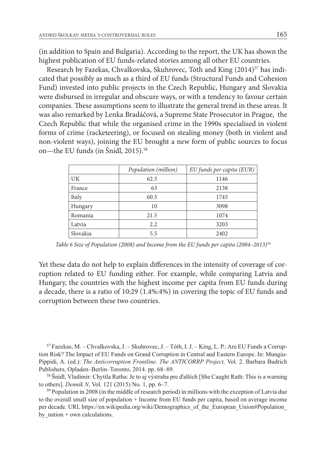(in addition to Spain and Bulgaria). According to the report, the UK has shown the highest publication of EU funds-related stories among all other EU countries.

Research by Fazekas, Chvalkovska, Skuhrovec, Tóth and King (2014)<sup>57</sup> has indicated that possibly as much as a third of EU funds (Structural Funds and Cohesion Fund) invested into public projects in the Czech Republic, Hungary and Slovakia were disbursed in irregular and obscure ways, or with a tendency to favour certain companies. These assumptions seem to illustrate the general trend in these areas. It was also remarked by Lenka Bradáčová, a Supreme State Prosecutor in Prague, the Czech Republic that while the organised crime in the 1990s specialised in violent forms of crime (racketeering), or focused on stealing money (both in violent and non-violent ways), joining the EU brought a new form of public sources to focus on—the EU funds (in Šnídl, 2015).<sup>58</sup>

|          | Population (million) | EU funds per capita (EUR) |
|----------|----------------------|---------------------------|
| UK       | 62.5                 | 1146                      |
| France   | 63                   | 2138                      |
| Italy    | 60.5                 | 1745                      |
| Hungary  | 10                   | 3098                      |
| Romania  | 21.5                 | 1074                      |
| Latvia   | 2.2                  | 3203                      |
| Slovakia | 5.5                  | 2402                      |

*Table 6 Size of Population (2008) and Income from the EU funds per capita (2004–2013)*<sup>59</sup>

Yet these data do not help to explain differences in the intensity of coverage of corruption related to EU funding either. For example, while comparing Latvia and Hungary, the countries with the highest income per capita from EU funds during a decade, there is a ratio of 10:29 (1.4%:4%) in covering the topic of EU funds and corruption between these two countries.

57 Fazekas, M. – Chvalkovska, J. – Skuhrovec, J. – Tóth, I. J. – King, L. P.: Are EU Funds a Corruption Risk? The Impact of EU Funds on Grand Corruption in Central and Eastern Europe. In: Mungiu-Pippidi, A. (ed.): *The Anticorruption Frontline. The ANTICORRP Project,* Vol. 2. Barbara Budrich Publishers, Opladen–Berlin–Toronto, 2014. pp. 68–89.

<sup>58</sup>Šnídl, Vladimir: Chytila Ratha: Je to aj výstraha pre ďalších [She Caught Rath: This is a warning to others]. *Denník N,* Vol. 121 (2015) No. 1, pp. 6–7.

59 Population in 2008 (in the middle of research period) in millions with the exception of Latvia due to the overall small size of population + Income from EU funds per capita, based on average income per decade. URL https://en.wikipedia.org/wiki/Demographics of the European Union#Population by  $nation + own calculations.$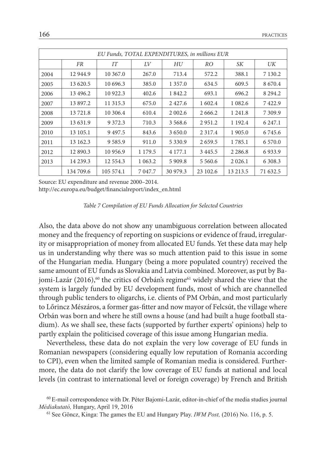| EU Funds, TOTAL EXPENDITURES, in millions EUR |           |              |             |             |             |             |             |  |  |  |  |
|-----------------------------------------------|-----------|--------------|-------------|-------------|-------------|-------------|-------------|--|--|--|--|
|                                               | FR        | IТ           | LV          | HU          | RO.         | SК          | UK          |  |  |  |  |
| 2004                                          | 12 944.9  | 10 367.0     | 267.0       | 713.4       | 572.2       | 388.1       | 7 1 3 0 . 2 |  |  |  |  |
| 2005                                          | 13 620.5  | 10 696.3     | 385.0       | 1 357.0     | 634.5       | 609.5       | 8670.4      |  |  |  |  |
| 2006                                          | 13 496.2  | 10 922.3     | 402.6       | 1842.2      | 693.1       | 696.2       | 8 2 9 4 .2  |  |  |  |  |
| 2007                                          | 13 897.2  | 11 315.3     | 675.0       | 2427.6      | 1 602.4     | 1 0 8 2.6   | 7422.9      |  |  |  |  |
| 2008                                          | 13721.8   | 10 306.4     | 610.4       | 2 002.6     | 2 6 6 6 .2  | 1 2 4 1 .8  | 7 309.9     |  |  |  |  |
| 2009                                          | 13 631.9  | 9 3 7 2 . 3  | 710.3       | 3 5 6 8 . 6 | 2951.2      | 1 1 9 2 . 4 | 6 2 4 7 .1  |  |  |  |  |
| 2010                                          | 13 105.1  | 9497.5       | 843.6       | 3650.0      | 2 3 1 7 .4  | 1 905.0     | 6 7 4 5 . 6 |  |  |  |  |
| 2011                                          | 13 162.3  | 9 5 8 5 . 9  | 911.0       | 5 3 3 0 . 9 | 2 6 5 9.5   | 1785.1      | 6 5 7 0 .0  |  |  |  |  |
| 2012                                          | 12 890.3  | 10 956.9     | 1 1 7 9 . 5 | 4 177.1     | 3445.5      | 2 2 8 6 .8  | 6933.9      |  |  |  |  |
| 2013                                          | 14 2 39.3 | 12 5 5 4 . 3 | 1 0 6 3 .2  | 5 909.8     | 5 5 6 0 . 6 | 2 0 2 6 .1  | 6 3 0 8 .3  |  |  |  |  |
|                                               | 134 709.6 | 105 574.1    | 7 0 4 7 .7  | 30 979.3    | 23 102.6    | 13 213.5    | 71 632.5    |  |  |  |  |

Source: EU expenditure and revenue 2000–2014.

http://ec.europa.eu/budget/financialreport/index\_en.html

Also, the data above do not show any unambiguous correlation between allocated money and the frequency of reporting on suspicions or evidence of fraud, irregularity or misappropriation of money from allocated EU funds. Yet these data may help us in understanding why there was so much attention paid to this issue in some of the Hungarian media. Hungary (being a more populated country) received the same amount of EU funds as Slovakia and Latvia combined. Moreover, as put by Bajomi-Lazár (2016),<sup>60</sup> the critics of Orbán's regime<sup>61</sup> widely shared the view that the system is largely funded by EU development funds, most of which are channelled through public tenders to oligarchs, i.e. clients of PM Orbán, and most particularly to Lőrincz Mészáros, a former gas-fitter and now mayor of Felcsút, the village where Orbán was born and where he still owns a house (and had built a huge football stadium). As we shall see, these facts (supported by further experts' opinions) help to partly explain the politicised coverage of this issue among Hungarian media.

Nevertheless, these data do not explain the very low coverage of EU funds in Romanian newspapers (considering equally low reputation of Romania according to CPI), even when the limited sample of Romanian media is considered. Furthermore, the data do not clarify the low coverage of EU funds at national and local levels (in contrast to international level or foreign coverage) by French and British

*Table 7 Compilation of EU Funds Allocation for Selected Countries*

<sup>60</sup> E-mail correspondence with Dr. Péter Bajomi-Lazár, editor-in-chief of the media studies journal *Médiakutató,* Hungary, April 19, 2016

<sup>61</sup> See Göncz, Kinga: The games the EU and Hungary Play. *IWM Post,* (2016) No. 116, p. 5.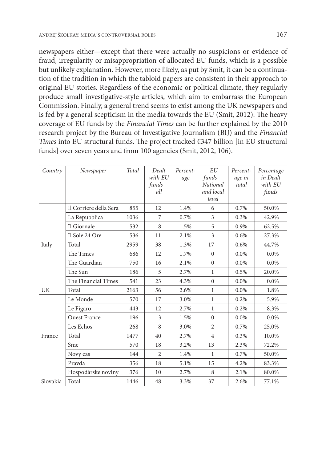newspapers either—except that there were actually no suspicions or evidence of fraud, irregularity or misappropriation of allocated EU funds, which is a possible but unlikely explanation. However, more likely, as put by Smit, it can be a continuation of the tradition in which the tabloid papers are consistent in their approach to original EU stories. Regardless of the economic or political climate, they regularly produce small investigative-style articles, which aim to embarrass the European Commission. Finally, a general trend seems to exist among the UK newspapers and is fed by a general scepticism in the media towards the EU (Smit, 2012). The heavy coverage of EU funds by the *Financial Times* can be further explained by the 2010 research project by the Bureau of Investigative Journalism (BIJ) and the *Financial Times* into EU structural funds. The project tracked €347 billion [in EU structural funds] over seven years and from 100 agencies (Smit, 2012, 106).

| Country  | Newspaper              | Total | Dealt<br>with EU<br>$funds -$<br>all | Percent-<br>age | EU<br>funds—<br><b>National</b><br>and local<br>level | Percent-<br>age in<br>total | Percentage<br>in Dealt<br>with EU<br>funds |
|----------|------------------------|-------|--------------------------------------|-----------------|-------------------------------------------------------|-----------------------------|--------------------------------------------|
|          | Il Corriere della Sera | 855   | 12                                   | 1.4%            | 6                                                     | 0.7%                        | 50.0%                                      |
|          | La Repubblica          | 1036  | 7                                    | 0.7%            | 3                                                     | 0.3%                        | 42.9%                                      |
|          | Il Giornale            | 532   | 8                                    | 1.5%            | 5                                                     | 0.9%                        | 62.5%                                      |
|          | Il Sole 24 Ore         | 536   | 11                                   | 2.1%            | 3                                                     | 0.6%                        | 27.3%                                      |
| Italy    | Total                  | 2959  | 38                                   | 1.3%            | 17                                                    | 0.6%                        | 44.7%                                      |
|          | The Times              | 686   | 12                                   | 1.7%            | $\mathbf{0}$                                          | $0.0\%$                     | 0.0%                                       |
|          | The Guardian           | 750   | 16                                   | 2.1%            | $\mathbf{0}$                                          | 0.0%                        | 0.0%                                       |
|          | The Sun                | 186   | 5                                    | 2.7%            | 1                                                     | 0.5%                        | 20.0%                                      |
|          | The Financial Times    | 541   | 23                                   | 4.3%            | $\mathbf{0}$                                          | $0.0\%$                     | 0.0%                                       |
| UK       | Total                  | 2163  | 56                                   | 2.6%            | 1                                                     | 0.0%                        | 1.8%                                       |
|          | Le Monde               | 570   | 17                                   | 3.0%            | $\mathbf{1}$                                          | 0.2%                        | 5.9%                                       |
|          | Le Figaro              | 443   | 12                                   | 2.7%            | $\mathbf{1}$                                          | 0.2%                        | 8.3%                                       |
|          | <b>Ouest France</b>    | 196   | 3                                    | 1.5%            | $\mathbf{0}$                                          | 0.0%                        | 0.0%                                       |
|          | Les Echos              | 268   | 8                                    | 3.0%            | $\overline{2}$                                        | 0.7%                        | 25.0%                                      |
| France   | Total                  | 1477  | 40                                   | 2.7%            | $\overline{4}$                                        | 0.3%                        | 10.0%                                      |
|          | Sme                    | 570   | 18                                   | 3.2%            | 13                                                    | 2.3%                        | 72.2%                                      |
|          | Novy cas               | 144   | $\overline{2}$                       | 1.4%            | 1                                                     | 0.7%                        | 50.0%                                      |
|          | Pravda                 | 356   | 18                                   | 5.1%            | 15                                                    | 4.2%                        | 83.3%                                      |
|          | Hospodàrske noviny     | 376   | 10                                   | 2.7%            | 8                                                     | 2.1%                        | 80.0%                                      |
| Slovakia | Total                  | 1446  | 48                                   | 3.3%            | 37                                                    | 2.6%                        | 77.1%                                      |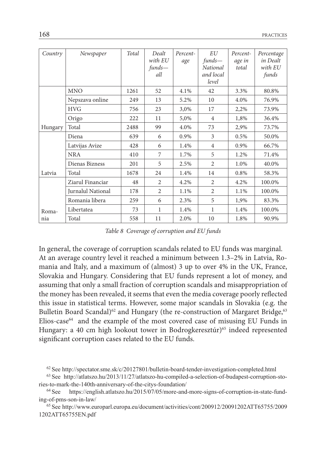| Country | Newspaper         | Total | Dealt<br>with EU<br>$funds -$<br>all | Percent-<br>age | EU<br>funds—<br>National<br>and local<br>level | Percent-<br>age in<br>total | Percentage<br>in Dealt<br>with EU<br>funds |
|---------|-------------------|-------|--------------------------------------|-----------------|------------------------------------------------|-----------------------------|--------------------------------------------|
|         | <b>MNO</b>        | 1261  | 52                                   | 4.1%            | 42                                             | 3.3%                        | 80.8%                                      |
|         | Nepszava online   | 249   | 13                                   | 5.2%            | 10                                             | 4.0%                        | 76.9%                                      |
|         | <b>HVG</b>        | 756   | 23                                   | 3,0%            | 17                                             | 2,2%                        | 73.9%                                      |
|         | Origo             | 222   | 11                                   | 5,0%            | $\overline{4}$                                 | 1,8%                        | 36.4%                                      |
| Hungary | Total             | 2488  | 99                                   | 4.0%            | 73                                             | 2,9%                        | 73.7%                                      |
|         | Diena             | 639   | 6                                    | 0.9%            | 3                                              | 0.5%                        | 50.0%                                      |
|         | Latvijas Avize    | 428   | 6                                    | 1.4%            | $\overline{4}$                                 | 0.9%                        | 66.7%                                      |
|         | <b>NRA</b>        | 410   | 7                                    | 1.7%            | 5                                              | 1.2%                        | 71.4%                                      |
|         | Dienas Bizness    | 201   | 5                                    | 2.5%            | 2                                              | 1.0%                        | 40.0%                                      |
| Latvia  | Total             | 1678  | 24                                   | 1.4%            | 14                                             | 0.8%                        | 58.3%                                      |
|         | Ziarul Financiar  | 48    | $\overline{2}$                       | 4.2%            | $\overline{2}$                                 | 4.2%                        | 100.0%                                     |
|         | Jurnalul National | 178   | $\overline{2}$                       | 1.1%            | $\overline{2}$                                 | 1.1%                        | 100.0%                                     |
|         | Romania libera    | 259   | 6                                    | 2.3%            | 5                                              | 1,9%                        | 83.3%                                      |
| Roma-   | Libertatea        | 73    | 1                                    | 1.4%            | 1                                              | 1.4%                        | 100.0%                                     |
| nia     | Total             | 558   | 11                                   | 2.0%            | 10                                             | 1.8%                        | 90.9%                                      |

*Table 8 Coverage of corruption and EU funds*

In general, the coverage of corruption scandals related to EU funds was marginal. At an average country level it reached a minimum between 1.3–2% in Latvia, Romania and Italy, and a maximum of (almost) 3 up to over 4% in the UK, France, Slovakia and Hungary. Considering that EU funds represent a lot of money, and assuming that only a small fraction of corruption scandals and misappropriation of the money has been revealed, it seems that even the media coverage poorly reflected this issue in statistical terms. However, some major scandals in Slovakia (e.g. the Bulletin Board Scandal)<sup>62</sup> and Hungary (the re-construction of Margaret Bridge,<sup>63</sup> Elios-case<sup>64</sup> and the example of the most covered case of misusing EU Funds in Hungary: a 40 cm high lookout tower in Bodrogkeresztúr)<sup>65</sup> indeed represented significant corruption cases related to the EU funds.

65 See http://www.europarl.europa.eu/document/activities/cont/200912/20091202ATT65755/2009 1202ATT65755EN.pdf

<sup>62</sup> See http://spectator.sme.sk/c/20127801/bulletin-board-tender-investigation-completed.html

<sup>63</sup> See http://atlatszo.hu/2013/11/27/atlatszo-hu-compiled-a-selection-of-budapest-corruption-stories-to-mark-the-140th-anniversary-of-the-citys-foundation/

<sup>64</sup> See https://english.atlatszo.hu/2015/07/05/more-and-more-signs-of-corruption-in-state-funding-of-pms-son-in-law/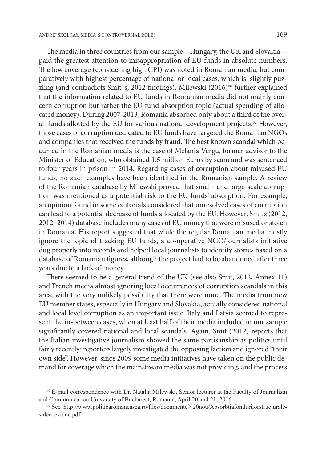The media in three countries from our sample—Hungary, the UK and Slovakia paid the greatest attention to misappropriation of EU funds in absolute numbers. The low coverage (considering high CPI) was noted in Romanian media, but comparatively with highest percentage of national or local cases, which is slightly puzzling (and contradicts Smit's, 2012 findings). Milewski (2016)<sup>66</sup> further explained that the information related to EU funds in Romanian media did not mainly concern corruption but rather the EU fund absorption topic (actual spending of allocated money). During 2007-2013, Romania absorbed only about a third of the overall funds allotted by the EU for various national development projects.<sup>67</sup> However, those cases of corruption dedicated to EU funds have targeted the Romanian NGOs and companies that received the funds by fraud. The best known scandal which occurred in the Romanian media is the case of Melania Vergu, former advisor to the Minister of Education, who obtained 1.5 million Euros by scam and was sentenced to four years in prison in 2014. Regarding cases of corruption about misused EU funds, no such examples have been identified in the Romanian sample. A review of the Romanian database by Milewski proved that small- and large-scale corruption was mentioned as a potential risk to the EU funds' absorption. For example, an opinion found in some editorials considered that unresolved cases of corruption can lead to a potential decrease of funds allocated by the EU. However, Smit's (2012, 2012–2014) database includes many cases of EU money that were misused or stolen in Romania. His report suggested that while the regular Romanian media mostly ignore the topic of tracking EU funds, a co-operative NGO/journalists initiative dug properly into records and helped local journalists to identify stories based on a database of Romanian figures, although the project had to be abandoned after three years due to a lack of money.

There seemed to be a general trend of the UK (see also Smit, 2012, Annex 11) and French media almost ignoring local occurrences of corruption scandals in this area, with the very unlikely possibility that there were none. The media from new EU member states, especially in Hungary and Slovakia, actually considered national and local level corruption as an important issue. Italy and Latvia seemed to represent the in-between cases, when at least half of their media included in our sample significantly covered national and local scandals. Again, Smit (2012) reports that the Italian investigative journalism showed the same partisanship as politics until fairly recently: reporters largely investigated the opposing faction and ignored "their own side". However, since 2009 some media initiatives have taken on the public demand for coverage which the mainstream media was not providing, and the process

<sup>66</sup> E-mail correspondence with Dr. Natalia Milewski, Senior lecturer at the Faculty of Journalism and Communication University of Bucharest, Romania, April 20 and 21, 2016

<sup>67</sup> See http://www.politicaromaneasca.ro/files/documente%20nou/Absorbtiafondurilorstructuralesidecoeziune.pdf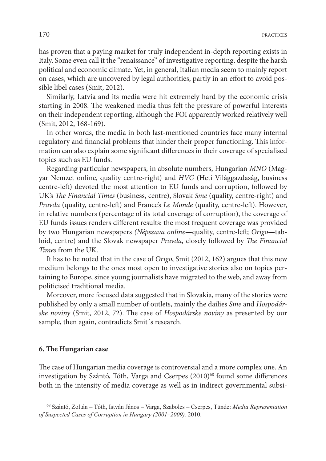has proven that a paying market for truly independent in-depth reporting exists in Italy. Some even call it the "renaissance" of investigative reporting, despite the harsh political and economic climate. Yet, in general, Italian media seem to mainly report on cases, which are uncovered by legal authorities, partly in an effort to avoid possible libel cases (Smit, 2012).

Similarly, Latvia and its media were hit extremely hard by the economic crisis starting in 2008. The weakened media thus felt the pressure of powerful interests on their independent reporting, although the FOI apparently worked relatively well (Smit, 2012, 168-169).

In other words, the media in both last-mentioned countries face many internal regulatory and financial problems that hinder their proper functioning. This information can also explain some significant differences in their coverage of specialised topics such as EU funds.

Regarding particular newspapers, in absolute numbers, Hungarian *MNO* (Magyar Nemzet online, quality centre-right) and *HVG* (Heti Világgazdaság, business centre-left) devoted the most attention to EU funds and corruption, followed by UK's *The Financial Times* (business, centre), Slovak *Sme* (quality, centre-right) and *Pravda* (quality, centre-left) and France's *Le Monde* (quality, centre-left). However, in relative numbers (percentage of its total coverage of corruption), the coverage of EU funds issues renders different results: the most frequent coverage was provided by two Hungarian newspapers *(Népszava online*—quality, centre-left; *Origo*—tabloid, centre) and the Slovak newspaper *Pravda*, closely followed by *The Financial Times* from the UK.

It has to be noted that in the case of *Origo*, Smit (2012, 162) argues that this new medium belongs to the ones most open to investigative stories also on topics pertaining to Europe, since young journalists have migrated to the web, and away from politicised traditional media.

Moreover, more focused data suggested that in Slovakia, many of the stories were published by only a small number of outlets, mainly the dailies *Sme* and *Hospodárske noviny* (Smit, 2012, 72). The case of *Hospodárske noviny* as presented by our sample, then again, contradicts Smit´s research.

#### **6. The Hungarian case**

The case of Hungarian media coverage is controversial and a more complex one. An investigation by Szántó, Tóth, Varga and Cserpes (2010)<sup>68</sup> found some differences both in the intensity of media coverage as well as in indirect governmental subsi-

<sup>68</sup> Szántó, Zoltán – Tóth, István János – Varga, Szabolcs – Cserpes, Tünde: *Media Representation of Suspected Cases of Corruption in Hungary (2001–2009).* 2010.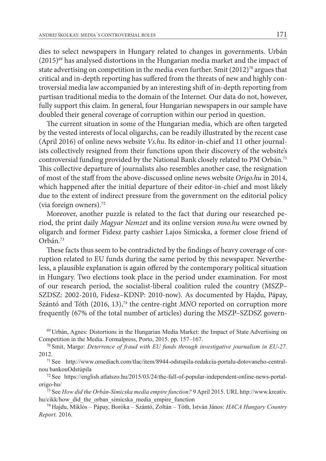dies to select newspapers in Hungary related to changes in governments. Urbán  $(2015)^{69}$  has analysed distortions in the Hungarian media market and the impact of state advertising on competition in the media even further. Smit  $(2012)^{70}$  argues that critical and in-depth reporting has suffered from the threats of new and highly controversial media law accompanied by an interesting shift of in-depth reporting from partisan traditional media to the domain of the Internet. Our data do not, however, fully support this claim. In general, four Hungarian newspapers in our sample have doubled their general coverage of corruption within our period in question.

The current situation in some of the Hungarian media, which are often targeted by the vested interests of local oligarchs, can be readily illustrated by the recent case (April 2016) of online news website *Vs.hu*. Its editor-in-chief and 11 other journalists collectively resigned from their functions upon their discovery of the website's controversial funding provided by the National Bank closely related to PM Orbán.<sup>71</sup> This collective departure of journalists also resembles another case, the resignation of most of the staff from the above-discussed online news website *Origo.hu* in 2014, which happened after the initial departure of their editor-in-chief and most likely due to the extent of indirect pressure from the government on the editorial policy (via foreign owners).72

Moreover, another puzzle is related to the fact that during our researched period, the print daily *Magyar Nemzet* and its online version *mno.hu* were owned by oligarch and former Fidesz party cashier Lajos Simicska, a former close friend of Orbán.73

These facts thus seem to be contradicted by the findings of heavy coverage of corruption related to EU funds during the same period by this newspaper. Nevertheless, a plausible explanation is again offered by the contemporary political situation in Hungary. Two elections took place in the period under examination. For most of our research period, the socialist-liberal coalition ruled the country (MSZP– SZDSZ: 2002-2010, Fidesz–KDNP: 2010-now). As documented by Hajdu, Pápay, Szántó and Tóth (2016, 13),<sup>74</sup> the centre-right *MNO* reported on corruption more frequently (67% of the total number of articles) during the MSZP–SZDSZ govern-

69 Urbán, Agnes: Distortions in the Hungarian Media Market: the Impact of State Advertising on Competition in the Media. Formalpress, Porto, 2015. pp. 157–167.

70 Smit, Margo: *Deterrence of fraud with EU funds through investigative journalism in EU-27.* 2012.

71 See http://www.omediach.com/tlac/item/8944-odstupila-redakcia-portalu-dotovaneho-centralnou bankouOdstúpila

72 See https://english.atlatszo.hu/2015/03/24/the-fall-of-popular-independent-online-news-portalorigo-hu/

73 See *How did the Orbán-Simicska media empire function?* 9 April 2015. URL http://www.kreativ. hu/cikk/how\_did\_the\_orban\_simicska\_media\_empire\_function

74 Hajdu, Miklós – Pápay, Boróka – Szántó, Zoltán – Tóth, István János: *HACA Hungary Country Report.* 2016.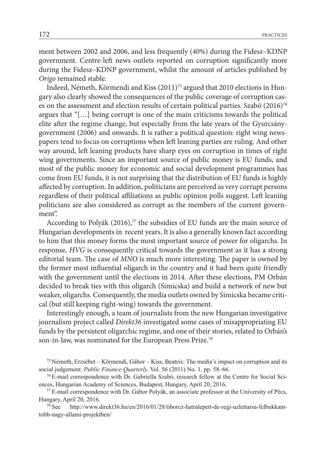ment between 2002 and 2006, and less frequently (40%) during the Fidesz–KDNP government. Centre-left news outlets reported on corruption significantly more during the Fidesz–KDNP government, whilst the amount of articles published by *Origo* remained stable.

Indeed, Németh, Körmendi and Kiss (2011)75 argued that 2010 elections in Hungary also clearly showed the consequences of the public coverage of corruption cases on the assessment and election results of certain political parties. Szabó (2016)<sup>76</sup> argues that "[…] being corrupt is one of the main criticisms towards the political elite after the regime change, but especially from the late years of the Gyurcsánygovernment (2006) and onwards. It is rather a political question: right wing newspapers tend to focus on corruptions when left leaning parties are ruling. And other way around, left leaning products have sharp eyes on corruption in times of right wing governments. Since an important source of public money is EU funds, and most of the public money for economic and social development programmes has come from EU funds, it is not surprising that the distribution of EU funds is highly affected by corruption. In addition, politicians are perceived as very corrupt persons regardless of their political affiliations as public opinion polls suggest. Left leaning politicians are also considered as corrupt as the members of the current government".

According to Polyák  $(2016)$ ,<sup>77</sup> the subsidies of EU funds are the main source of Hungarian developments in recent years. It is also a generally known fact according to him that this money forms the most important source of power for oligarchs. In response, *HVG* is consequently critical towards the government as it has a strong editorial team. The case of *MNO* is much more interesting. The paper is owned by the former most influential oligarch in the country and it had been quite friendly with the government until the elections in 2014. After these elections, PM Orbán decided to break ties with this oligarch (Simicska) and build a network of new but weaker, oligarchs. Consequently, the media outlets owned by Simicska became critical (but still keeping right-wing) towards the government.

Interestingly enough, a team of journalists from the new Hungarian investigative journalism project called *Direkt36* investigated some cases of misappropriating EU funds by the persistent oligarchic regime, and one of their stories, related to Orbán's son-in-law, was nominated for the European Press Prize.78

 $75$  Németh, Erzsébet – Körmendi, Gábor – Kiss, Beatrix: The media's impact on corruption and its social judgement. *Public Finance Quarterly,* Vol. 56 (2011) No. 1, pp. 58–66.

76 E-mail correspondence with Dr. Gabriella Szabó, research fellow at the Centre for Social Sciences, Hungarian Academy of Sciences, Budapest, Hungary, April 20, 2016.

77 E-mail correspondence with Dr. Gábor Polyák, an associate professor at the University of Pécs, Hungary, April 20, 2016.

78 See http://www.direkt36.hu/en/2016/01/28/tiborcz-hatralepett-de-regi-uzlettarsa-felbukkanttobb-nagy-allami-projektben/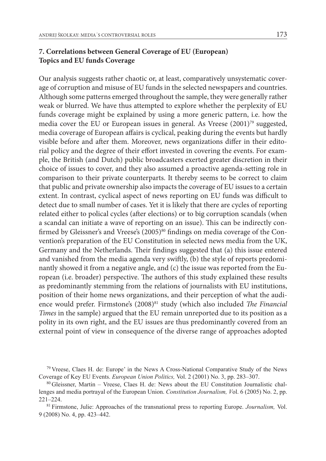## **7. Correlations between General Coverage of EU (European) Topics and EU funds Coverage**

Our analysis suggests rather chaotic or, at least, comparatively unsystematic coverage of corruption and misuse of EU funds in the selected newspapers and countries. Although some patterns emerged throughout the sample, they were generally rather weak or blurred. We have thus attempted to explore whether the perplexity of EU funds coverage might be explained by using a more generic pattern, i.e. how the media cover the EU or European issues in general. As Vreese (2001)<sup>79</sup> suggested, media coverage of European affairs is cyclical, peaking during the events but hardly visible before and after them. Moreover, news organizations differ in their editorial policy and the degree of their effort invested in covering the events. For example, the British (and Dutch) public broadcasters exerted greater discretion in their choice of issues to cover, and they also assumed a proactive agenda-setting role in comparison to their private counterparts. It thereby seems to be correct to claim that public and private ownership also impacts the coverage of EU issues to a certain extent. In contrast, cyclical aspect of news reporting on EU funds was difficult to detect due to small number of cases. Yet it is likely that there are cycles of reporting related either to polical cycles (after elections) or to big corruption scandals (when a scandal can initiate a wave of reporting on an issue). This can be indirectly confirmed by Gleissner's and Vreese's  $(2005)^{80}$  findings on media coverage of the Convention's preparation of the EU Constitution in selected news media from the UK, Germany and the Netherlands. Their findings suggested that (a) this issue entered and vanished from the media agenda very swiftly, (b) the style of reports predominantly showed it from a negative angle, and (c) the issue was reported from the European (i.e. broader) perspective. The authors of this study explained these results as predominantly stemming from the relations of journalists with EU institutions, position of their home news organizations, and their perception of what the audience would prefer. Firmstone's (2008)<sup>81</sup> study (which also included *The Financial Times* in the sample) argued that the EU remain unreported due to its position as a polity in its own right, and the EU issues are thus predominantly covered from an external point of view in consequence of the diverse range of approaches adopted

<sup>79</sup> Vreese, Claes H. de: Europe' in the News A Cross-National Comparative Study of the News Coverage of Key EU Events. *European Union Politics,* Vol. 2 (2001) No. 3, pp. 283–307.

<sup>80</sup> Gleissner, Martin – Vreese, Claes H. de: News about the EU Constitution Journalistic challenges and media portrayal of the European Union. *Constitution Journalism, V*ol. 6 (2005) No. 2, pp. 221–224.

<sup>81</sup> Firmstone, Julie: Approaches of the transnational press to reporting Europe. *Journalism,* Vol. 9 (2008) No. 4, pp. 423–442.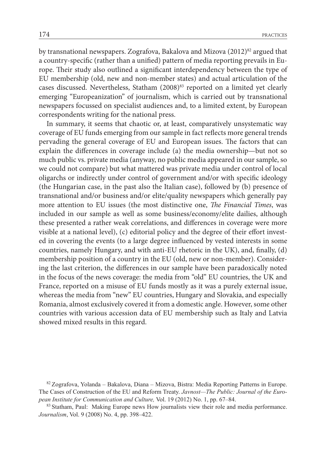by transnational newspapers. Zografova, Bakalova and Mizova (2012)<sup>82</sup> argued that a country-specific (rather than a unified) pattern of media reporting prevails in Europe. Their study also outlined a significant interdependency between the type of EU membership (old, new and non-member states) and actual articulation of the cases discussed. Nevertheless, Statham (2008)<sup>83</sup> reported on a limited yet clearly emerging "Europeanization" of journalism, which is carried out by transnational newspapers focussed on specialist audiences and, to a limited extent, by European correspondents writing for the national press.

In summary, it seems that chaotic or, at least, comparatively unsystematic way coverage of EU funds emerging from our sample in fact reflects more general trends pervading the general coverage of EU and European issues. The factors that can explain the differences in coverage include (a) the media ownership—but not so much public vs. private media (anyway, no public media appeared in our sample, so we could not compare) but what mattered was private media under control of local oligarchs or indirectly under control of government and/or with specific ideology (the Hungarian case, in the past also the Italian case), followed by (b) presence of transnational and/or business and/or elite/quality newspapers which generally pay more attention to EU issues (the most distinctive one, *The Financial Times*, was included in our sample as well as some business/economy/elite dailies, although these presented a rather weak correlations, and differences in coverage were more visible at a national level), (c) editorial policy and the degree of their effort invested in covering the events (to a large degree influenced by vested interests in some countries, namely Hungary, and with anti-EU rhetoric in the UK), and, finally, (d) membership position of a country in the EU (old, new or non-member). Considering the last criterion, the differences in our sample have been paradoxically noted in the focus of the news coverage: the media from "old" EU countries, the UK and France, reported on a misuse of EU funds mostly as it was a purely external issue, whereas the media from "new" EU countries, Hungary and Slovakia, and especially Romania, almost exclusively covered it from a domestic angle. However, some other countries with various accession data of EU membership such as Italy and Latvia showed mixed results in this regard.

<sup>82</sup> Zografova, Yolanda – Bakalova, Diana – Mizova, Bistra: Media Reporting Patterns in Europe. The Cases of Construction of the EU and Reform Treaty. *Javnost—The Public: Journal of the European Institute for Communication and Culture,* Vol. 19 (2012) No. 1, pp. 67–84.

<sup>83</sup> Statham, Paul: Making Europe news How journalists view their role and media performance. *Journalism*, Vol. 9 (2008) No. 4, pp. 398–422.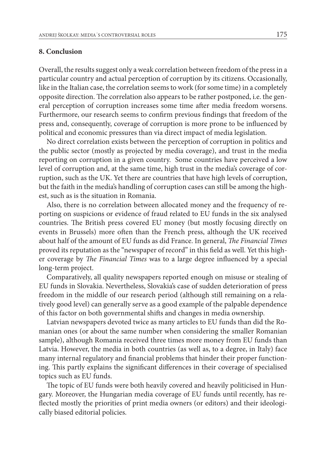#### **8. Conclusion**

Overall, the results suggest only a weak correlation between freedom of the press in a particular country and actual perception of corruption by its citizens. Occasionally, like in the Italian case, the correlation seems to work (for some time) in a completely opposite direction. The correlation also appears to be rather postponed, i.e. the general perception of corruption increases some time after media freedom worsens. Furthermore, our research seems to confirm previous findings that freedom of the press and, consequently, coverage of corruption is more prone to be influenced by political and economic pressures than via direct impact of media legislation.

No direct correlation exists between the perception of corruption in politics and the public sector (mostly as projected by media coverage), and trust in the media reporting on corruption in a given country. Some countries have perceived a low level of corruption and, at the same time, high trust in the media's coverage of corruption, such as the UK. Yet there are countries that have high levels of corruption, but the faith in the media's handling of corruption cases can still be among the highest, such as is the situation in Romania.

Also, there is no correlation between allocated money and the frequency of reporting on suspicions or evidence of fraud related to EU funds in the six analysed countries. The British press covered EU money (but mostly focusing directly on events in Brussels) more often than the French press, although the UK received about half of the amount of EU funds as did France. In general, *The Financial Times* proved its reputation as the "newspaper of record" in this field as well. Yet this higher coverage by *The Financial Times* was to a large degree influenced by a special long-term project.

Comparatively, all quality newspapers reported enough on misuse or stealing of EU funds in Slovakia. Nevertheless, Slovakia's case of sudden deterioration of press freedom in the middle of our research period (although still remaining on a relatively good level) can generally serve as a good example of the palpable dependence of this factor on both governmental shifts and changes in media ownership.

Latvian newspapers devoted twice as many articles to EU funds than did the Romanian ones (or about the same number when considering the smaller Romanian sample), although Romania received three times more money from EU funds than Latvia. However, the media in both countries (as well as, to a degree, in Italy) face many internal regulatory and financial problems that hinder their proper functioning. This partly explains the significant differences in their coverage of specialised topics such as EU funds.

The topic of EU funds were both heavily covered and heavily politicised in Hungary. Moreover, the Hungarian media coverage of EU funds until recently, has reflected mostly the priorities of print media owners (or editors) and their ideologically biased editorial policies.